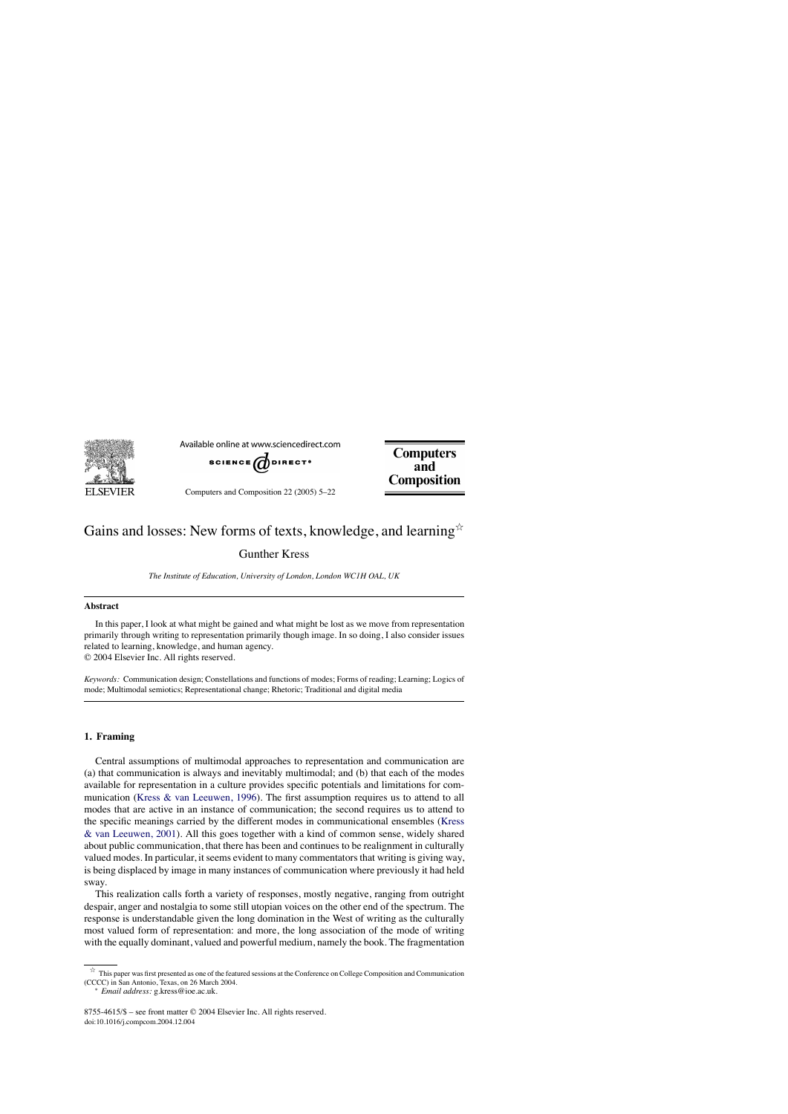

Available online at www.sciencedirect.com



**Computers** and **Composition** 

Computers and Composition 22 (2005) 5–22

# Gains and losses: New forms of texts, knowledge, and learning  $\alpha$

# Gunther Kress

*The Institute of Education, University of London, London WC1H OAL, UK*

## **Abstract**

In this paper, I look at what might be gained and what might be lost as we move from representation primarily through writing to representation primarily though image. In so doing, I also consider issues related to learning, knowledge, and human agency.

© 2004 Elsevier Inc. All rights reserved.

*Keywords:* Communication design; Constellations and functions of modes; Forms of reading; Learning; Logics of mode; Multimodal semiotics; Representational change; Rhetoric; Traditional and digital media

# **1. Framing**

Central assumptions of multimodal approaches to representation and communication are (a) that communication is always and inevitably multimodal; and (b) that each of the modes available for representation in a culture provides specific potentials and limitations for communication [\(Kress & van Leeuwen, 1996\)](#page-17-0). The first assumption requires us to attend to all modes that are active in an instance of communication; the second requires us to attend to the specific meanings carried by the different modes in communicational ensembles [\(Kress](#page-17-0) [& van Leeuwen, 2001\)](#page-17-0). All this goes together with a kind of common sense, widely shared about public communication, that there has been and continues to be realignment in culturally valued modes. In particular, it seems evident to many commentators that writing is giving way, is being displaced by image in many instances of communication where previously it had held sway.

This realization calls forth a variety of responses, mostly negative, ranging from outright despair, anger and nostalgia to some still utopian voices on the other end of the spectrum. The response is understandable given the long domination in the West of writing as the culturally most valued form of representation: and more, the long association of the mode of writing with the equally dominant, valued and powerful medium, namely the book. The fragmentation

 $\overrightarrow{r}$  This paper was first presented as one of the featured sessions at the Conference on College Composition and Communication (CCCC) in San Antonio, Texas, on 26 March 2004.

<sup>∗</sup> *Email address:* g.kress@ioe.ac.uk.

<sup>8755-4615/\$ –</sup> see front matter © 2004 Elsevier Inc. All rights reserved. doi:10.1016/j.compcom.2004.12.004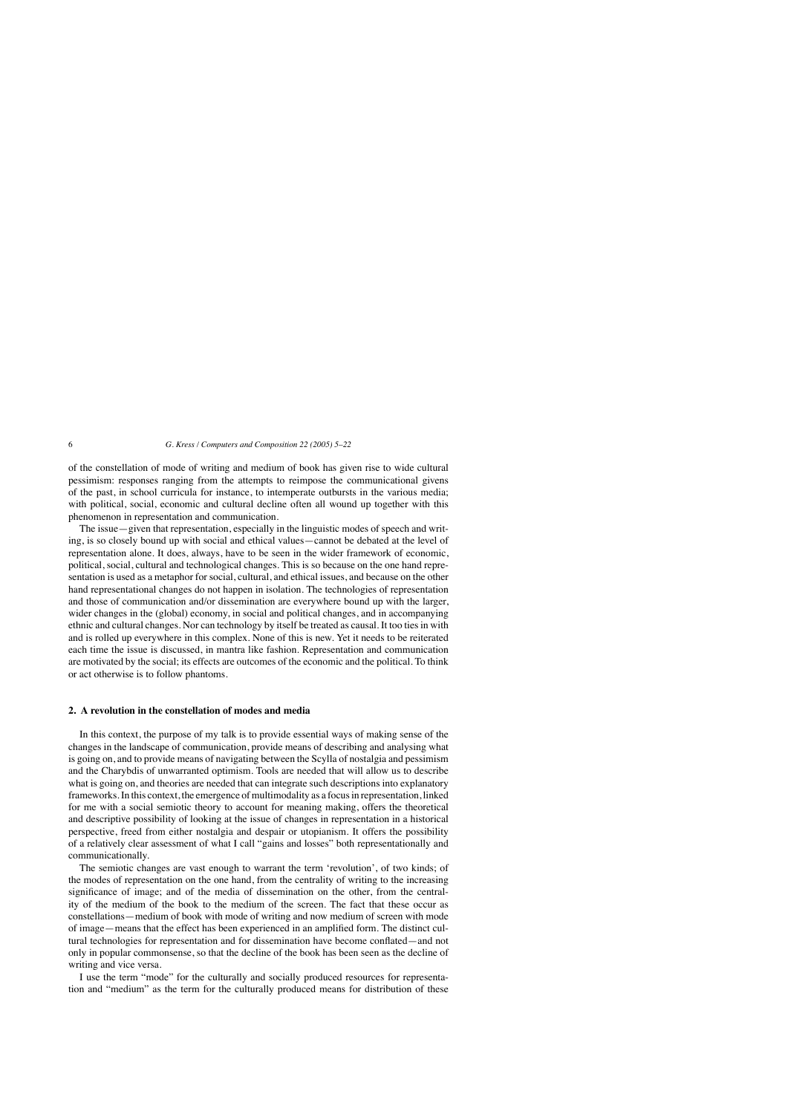of the constellation of mode of writing and medium of book has given rise to wide cultural pessimism: responses ranging from the attempts to reimpose the communicational givens of the past, in school curricula for instance, to intemperate outbursts in the various media; with political, social, economic and cultural decline often all wound up together with this phenomenon in representation and communication.

The issue—given that representation, especially in the linguistic modes of speech and writing, is so closely bound up with social and ethical values—cannot be debated at the level of representation alone. It does, always, have to be seen in the wider framework of economic, political, social, cultural and technological changes. This is so because on the one hand representation is used as a metaphor for social, cultural, and ethical issues, and because on the other hand representational changes do not happen in isolation. The technologies of representation and those of communication and/or dissemination are everywhere bound up with the larger, wider changes in the (global) economy, in social and political changes, and in accompanying ethnic and cultural changes. Nor can technology by itself be treated as causal. It too ties in with and is rolled up everywhere in this complex. None of this is new. Yet it needs to be reiterated each time the issue is discussed, in mantra like fashion. Representation and communication are motivated by the social; its effects are outcomes of the economic and the political. To think or act otherwise is to follow phantoms.

# **2. A revolution in the constellation of modes and media**

In this context, the purpose of my talk is to provide essential ways of making sense of the changes in the landscape of communication, provide means of describing and analysing what is going on, and to provide means of navigating between the Scylla of nostalgia and pessimism and the Charybdis of unwarranted optimism. Tools are needed that will allow us to describe what is going on, and theories are needed that can integrate such descriptions into explanatory frameworks. In this context, the emergence of multimodality as a focus in representation, linked for me with a social semiotic theory to account for meaning making, offers the theoretical and descriptive possibility of looking at the issue of changes in representation in a historical perspective, freed from either nostalgia and despair or utopianism. It offers the possibility of a relatively clear assessment of what I call "gains and losses" both representationally and communicationally.

The semiotic changes are vast enough to warrant the term 'revolution', of two kinds; of the modes of representation on the one hand, from the centrality of writing to the increasing significance of image; and of the media of dissemination on the other, from the centrality of the medium of the book to the medium of the screen. The fact that these occur as constellations—medium of book with mode of writing and now medium of screen with mode of image—means that the effect has been experienced in an amplified form. The distinct cultural technologies for representation and for dissemination have become conflated—and not only in popular commonsense, so that the decline of the book has been seen as the decline of writing and vice versa.

I use the term "mode" for the culturally and socially produced resources for representation and "medium" as the term for the culturally produced means for distribution of these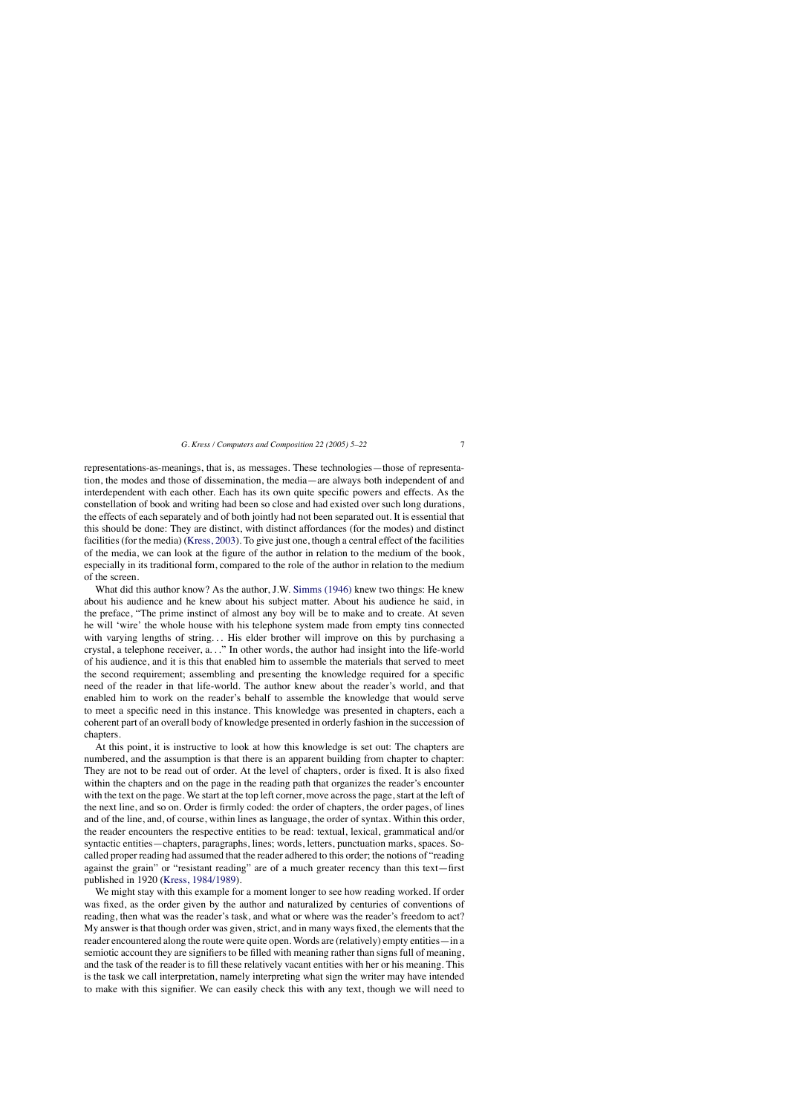representations-as-meanings, that is, as messages. These technologies—those of representation, the modes and those of dissemination, the media—are always both independent of and interdependent with each other. Each has its own quite specific powers and effects. As the constellation of book and writing had been so close and had existed over such long durations, the effects of each separately and of both jointly had not been separated out. It is essential that this should be done: They are distinct, with distinct affordances (for the modes) and distinct facilities (for the media) [\(Kress, 2003\).](#page-17-0) To give just one, though a central effect of the facilities of the media, we can look at the figure of the author in relation to the medium of the book, especially in its traditional form, compared to the role of the author in relation to the medium of the screen.

What did this author know? As the author, J.W. [Simms \(1946\)](#page-17-0) knew two things: He knew about his audience and he knew about his subject matter. About his audience he said, in the preface, "The prime instinct of almost any boy will be to make and to create. At seven he will 'wire' the whole house with his telephone system made from empty tins connected with varying lengths of string... His elder brother will improve on this by purchasing a crystal, a telephone receiver, a..." In other words, the author had insight into the life-world of his audience, and it is this that enabled him to assemble the materials that served to meet the second requirement; assembling and presenting the knowledge required for a specific need of the reader in that life-world. The author knew about the reader's world, and that enabled him to work on the reader's behalf to assemble the knowledge that would serve to meet a specific need in this instance. This knowledge was presented in chapters, each a coherent part of an overall body of knowledge presented in orderly fashion in the succession of chapters.

At this point, it is instructive to look at how this knowledge is set out: The chapters are numbered, and the assumption is that there is an apparent building from chapter to chapter: They are not to be read out of order. At the level of chapters, order is fixed. It is also fixed within the chapters and on the page in the reading path that organizes the reader's encounter with the text on the page. We start at the top left corner, move across the page, start at the left of the next line, and so on. Order is firmly coded: the order of chapters, the order pages, of lines and of the line, and, of course, within lines as language, the order of syntax. Within this order, the reader encounters the respective entities to be read: textual, lexical, grammatical and/or syntactic entities—chapters, paragraphs, lines; words, letters, punctuation marks, spaces. Socalled proper reading had assumed that the reader adhered to this order; the notions of "reading against the grain" or "resistant reading" are of a much greater recency than this text—first published in 1920 ([Kress, 1984/1989\).](#page-17-0)

We might stay with this example for a moment longer to see how reading worked. If order was fixed, as the order given by the author and naturalized by centuries of conventions of reading, then what was the reader's task, and what or where was the reader's freedom to act? My answer is that though order was given, strict, and in many ways fixed, the elements that the reader encountered along the route were quite open. Words are (relatively) empty entities—in a semiotic account they are signifiers to be filled with meaning rather than signs full of meaning, and the task of the reader is to fill these relatively vacant entities with her or his meaning. This is the task we call interpretation, namely interpreting what sign the writer may have intended to make with this signifier. We can easily check this with any text, though we will need to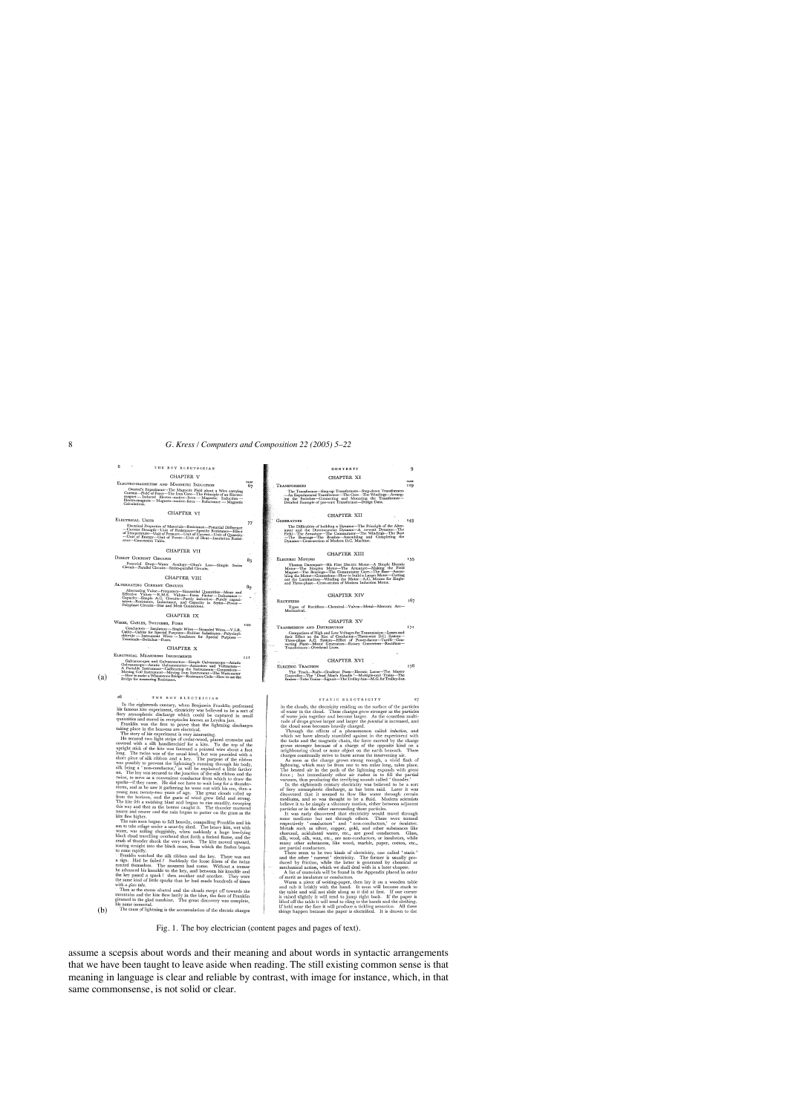race<br>67

 $\overline{8}_3$ 

#### <span id="page-3-0"></span> $\mathbf{R}$ THE BOY ELECTRICIAN CHAPTER V

ELECTRO-MAGNETISM AND MAGNETIC INDUCTION Certed's Experiment-The Magnetic Field about a Wire carrying<br>
Current-The Hagnetic Field about a Wire carrying<br>
Current-The Heron Core-The Principle of an Electro-<br>
Electro-motive-force--- Magnetic Induction-<br>
Electro-moti

CHAPTER VI

#### ELECTRICAL UNITS

 $77$ Assumation Contract Relations-Resistance-Potential Difference<br>
Cloctrical Properties of Materials-Resistance-Potential Difference<br>
Temperature-Unit of Pressure-Unit of Current-Unit of Quancity<br>
-Unit of Baresy-Unit of Pres

### **CHAPTER VII** DIRECT CURRENT CIRCUITS

Potential Drop-Water Analogy-Ohm's Law-Simple Series<br>Circuit-Parallel Circuits-Series-parallel Circuits.

#### CHAPTER VIII

ALTERNATING CURRENT CIRCUITS

# 89 Microsoftonic School (Microsoftonic School (Microsoftonic Microsoftonic Capital Capital Capital Capital Capital Capital Capital Capital Capital Capital Capital Capital Capital Capital Capital Capital Capital Capital Capita

#### **CHAPTER IX**

WIRES, CABLES, SWITCHES, FUSES 100 Conductors -- Insulators -- Single Wires --- Stranded Wires --- V.I.R.<br>Cable--- Cables for Special Purposes--- Rubber Substitutes--- Polyvinyl-<br>Cable--- Cables for Special Purposes--- Rubber Substitutes--- Polyvinyl--<br>Term

### CHAPTER X

ELECTRICAL MEASURING INSTRUMENTS  $111$ SCI ANARONAL MARINI INSTRUMENTS (Subanoscope-Asta Calvanoscope-Asta Calvanoscope-Asta Calvanoscope-Asta Calvanoscope-Asta Calvanoscope-Asta Calvanoscope-Asta Calvanoscope-Asta Calvanoscope-Asta Calvanoscope-Asta Calvanosco -<br>Astatic

 $(a)$ 

 $(h)$ 

#### 26 THE BOY ELECTRICIAN

26 THE BOY EVERTIC IAN INCORDITY (WHOM BEH) In the eighteenth century, when Benjamin Franklin performed his farmous kite experiment, electricity onsal believed to be a sort of quantities and stored in resolution to discus

kit flew higher.<br>
The rain soon began to fall heavily, compelling Franklin and his<br>
it on the refuge under a near-by shed. The heavy kite, wet with<br>
water, was sailing sluggishly, when suddenly a huge low-lying<br>
black clou to come rapidly.

to come rapidly, when states mass, notes when the last results of the signal motated the silk ribbon and the key. There was not a signa. Had he failed  $?$  Suddenly the loose fibres of the twire erected themeckes. The mome

the same kind of ittle sparks that he had made hundreds of times<br>with a *glass tabe*. Then as the storm abated and the clouds swept of towards the<br>mountains and the kite flew lazily in the blue, the face of Franklin<br>mounta

The cause of lightning is the accumulation of the electric charges

#### CONTRNTS CHAPTER XI глав<br>120

TRANSFORMERS The Transformer—Step-up Transformers—Step-down Transform—An Experimental Transformer—The Core—The Windings—Arraing the Transformers (Step-down Sperimental Details)<br>Ing the Switches—Connecting and Mounting the Transforme<br>De .<br>Transform<br>ngs—Arra

### CHAPTER XII

**GENERATORS** EXAIONS The Difficulties of building a Dynamo—The Principle of the Alternator and the Directe-current Dynamo—A 10-watt Dynamo—The Field Teld Teld The Amature—The Commutator—The Windings—The Base<br>Teld The Bearings—The Base<br>

### CHAPTER XIII

corruct Monoms<br>
Thomas Davenport—His First Electric Motor—A Simple Electric<br>
Motor—The Simplex Motor—The Armature—Making the Field<br>
Magnet—The Desirum - The Commutation dariance Hosten<br>
Magnet—The Desirum - The Commutatio the Lamir<br>Three-pha

#### CHAPTER XIV

**ELECTRIC MOTORS** 

167 RECTIFIERS TTIFIERS<br>Types of Rectifiers—Chemical—Valves—Metal—Mercury Arc—<br>Mechanical…

#### **CHAPTER XV**

TRANSMISSION AND DISTRIBUTION  $171$ ANSILISATION TO USE ALLOWED TRISPERSION COMPARISON COMPARISON CONSULTING THE EIGE OF COMPARING THE SURFACTURE THE STATE THE STATE THE PLANE TO THE TRISPERSION CONTROL THE STATE THAT HAS CONTROL TRISPERSION THAT THE TRISPER

#### CHAPTER XVI

**ELECTRIC TRACTION** 178 The Track-Rails-Gradient Posts-Electric Locos-The Master Controller-The 'Dead Man's Handle'-Multiple-unit Trains-The Brakes-Tube Trains-Signals-The Trolley-bus-

 $\overline{27}$ 

 $\overline{9}$ 

143

155

STATIC ELECTRICITY in the clouds, the electricity residing on the surface of the particles

 $\texttt{ST-ATE}$  are a  $\texttt{ST-ATE}$  as the condition of the contrident of the condition of water join to develop the condition of the conditional of the condition of the condition of the condition of the condition of the conditio

many other substances, the wood, marble, paper, codon, e.e.,<br>are partial conductors.<br>There seem to be two kinds of electricity, one called 'static'<br>and the other 'current' electricity. The former is usually pro-<br>duced by f

of merit as insulators or conductors. of ment as insulators or conductors.<br>The lay it on a wooden table and rub it briskly with the hand. It some stuck to the dark the falle and will the hand. It soom will become stuck to the dark the falle and will not slide

include the face it will produce a tickling sensation. All these things happen because the paper is electrified. It is drawn to the

assume a scepsis about words and their meaning and about words in syntactic arrangements that we have been taught to leave aside when reading. The still existing common sense is that meaning in language is clear and reliable by contrast, with image for instance, which, in that same commonsense, is not solid or clear.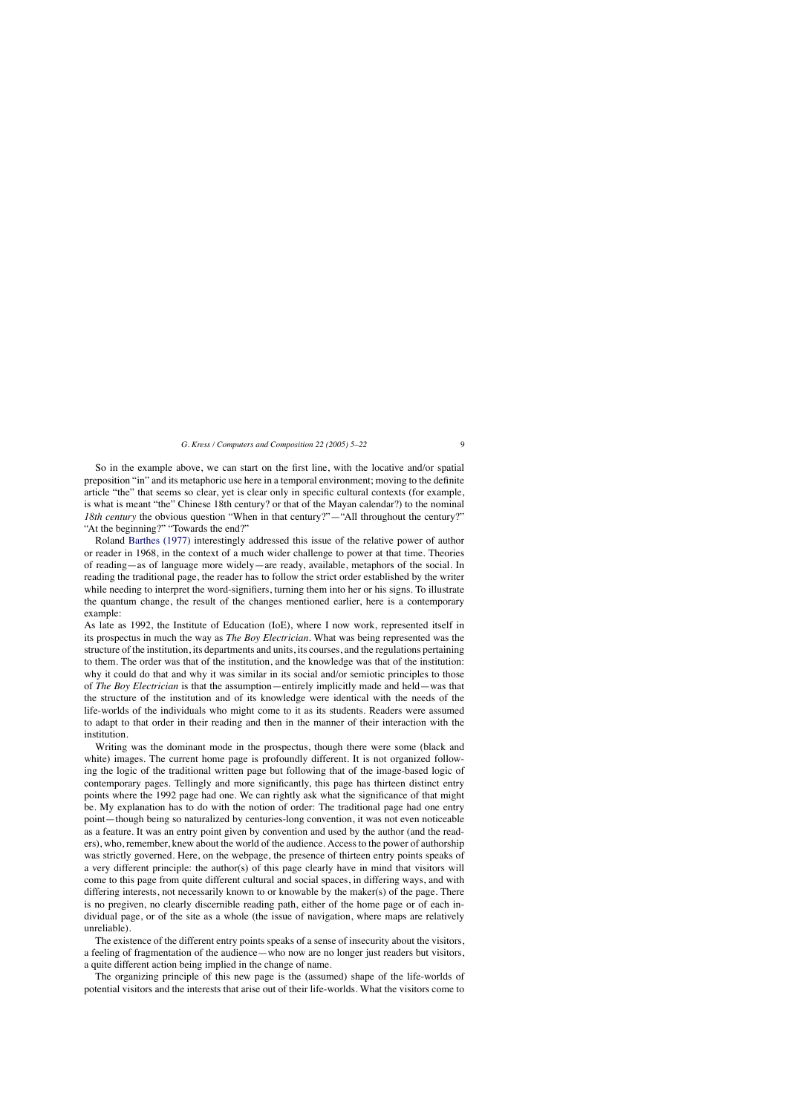So in the example above, we can start on the first line, with the locative and/or spatial preposition "in" and its metaphoric use here in a temporal environment; moving to the definite article "the" that seems so clear, yet is clear only in specific cultural contexts (for example, is what is meant "the" Chinese 18th century? or that of the Mayan calendar?) to the nominal *18th century* the obvious question "When in that century?"—"All throughout the century?" "At the beginning?" "Towards the end?"

Roland [Barthes \(1977\)](#page-17-0) interestingly addressed this issue of the relative power of author or reader in 1968, in the context of a much wider challenge to power at that time. Theories of reading—as of language more widely—are ready, available, metaphors of the social. In reading the traditional page, the reader has to follow the strict order established by the writer while needing to interpret the word-signifiers, turning them into her or his signs. To illustrate the quantum change, the result of the changes mentioned earlier, here is a contemporary example:

As late as 1992, the Institute of Education (IoE), where I now work, represented itself in its prospectus in much the way as *The Boy Electrician*. What was being represented was the structure of the institution, its departments and units, its courses, and the regulations pertaining to them. The order was that of the institution, and the knowledge was that of the institution: why it could do that and why it was similar in its social and/or semiotic principles to those of *The Boy Electrician* is that the assumption—entirely implicitly made and held—was that the structure of the institution and of its knowledge were identical with the needs of the life-worlds of the individuals who might come to it as its students. Readers were assumed to adapt to that order in their reading and then in the manner of their interaction with the institution.

Writing was the dominant mode in the prospectus, though there were some (black and white) images. The current home page is profoundly different. It is not organized following the logic of the traditional written page but following that of the image-based logic of contemporary pages. Tellingly and more significantly, this page has thirteen distinct entry points where the 1992 page had one. We can rightly ask what the significance of that might be. My explanation has to do with the notion of order: The traditional page had one entry point—though being so naturalized by centuries-long convention, it was not even noticeable as a feature. It was an entry point given by convention and used by the author (and the readers), who, remember, knew about the world of the audience. Access to the power of authorship was strictly governed. Here, on the webpage, the presence of thirteen entry points speaks of a very different principle: the author(s) of this page clearly have in mind that visitors will come to this page from quite different cultural and social spaces, in differing ways, and with differing interests, not necessarily known to or knowable by the maker(s) of the page. There is no pregiven, no clearly discernible reading path, either of the home page or of each individual page, or of the site as a whole (the issue of navigation, where maps are relatively unreliable).

The existence of the different entry points speaks of a sense of insecurity about the visitors, a feeling of fragmentation of the audience—who now are no longer just readers but visitors, a quite different action being implied in the change of name.

The organizing principle of this new page is the (assumed) shape of the life-worlds of potential visitors and the interests that arise out of their life-worlds. What the visitors come to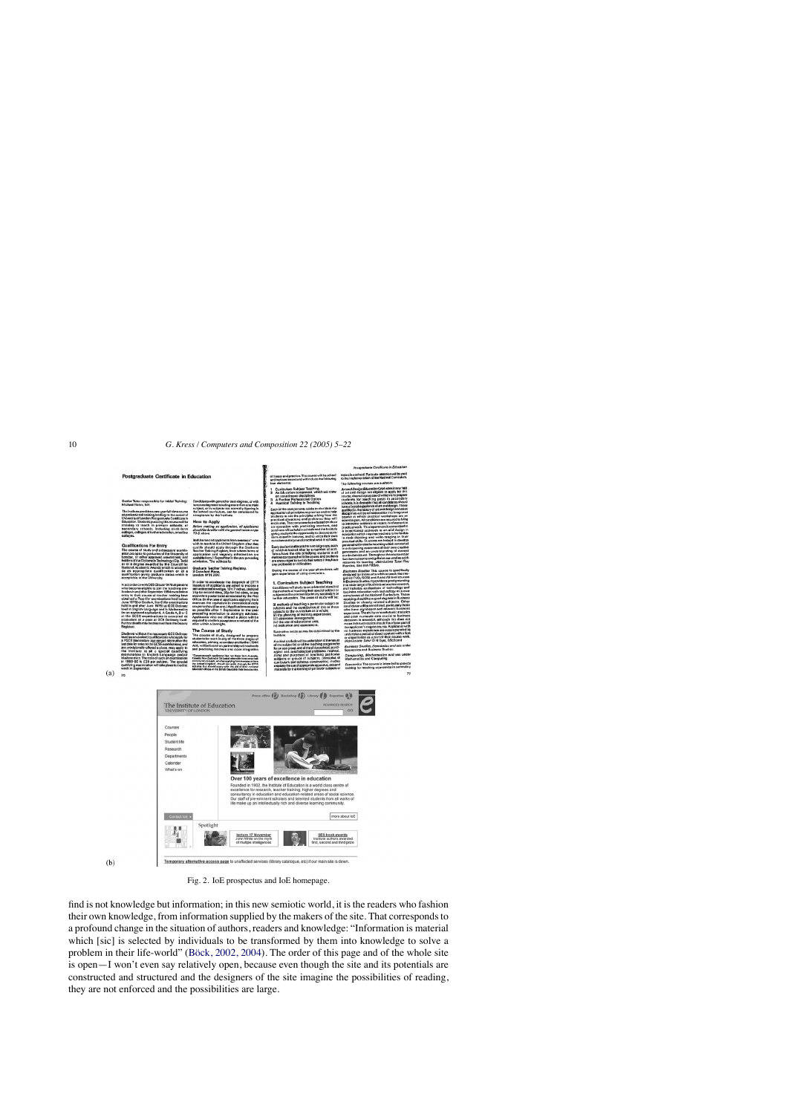#### Postgraduate Certificate in Education

#### ible for Initial Trai Tutor respo

**Qualifications For Entre** 

**MORSCirc** .<br>1guage and Ir<br>|uivalent], A C

 $(a)$ 

#### **Course of Study**

dy, dosig<br>sany of the

ach

nn e

as as may be dote

inte Corrificate in Educa n a school. Particular attention v<br>mplementation of the National C

o courses are supliable:

fles This

Co mputing, Mathe stics and  $\epsilon$ ce vics The cor



 $(b)$ 

Fig. 2. IoE prospectus and IoE homepage.

find is not knowledge but information; in this new semiotic world, it is the readers who fashion their own knowledge, from information supplied by the makers of the site. That corresponds to a profound change in the situation of authors, readers and knowledge: "Information is material which [sic] is selected by individuals to be transformed by them into knowledge to solve a problem in their life-world" (Böck, 2002, 2004). The order of this page and of the whole site is open—I won't even say relatively open, because even though the site and its potentials are constructed and structured and the designers of the site imagine the possibilities of reading, they are not enforced and the possibilities are large.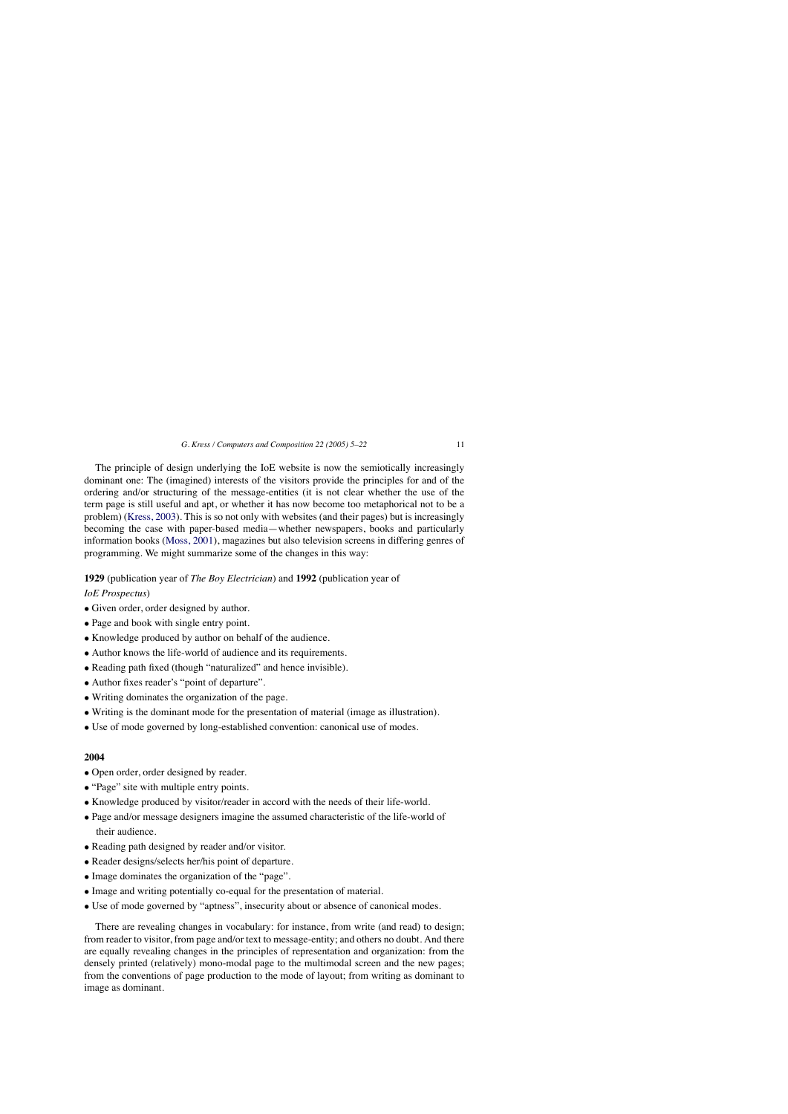The principle of design underlying the IoE website is now the semiotically increasingly dominant one: The (imagined) interests of the visitors provide the principles for and of the ordering and/or structuring of the message-entities (it is not clear whether the use of the term page is still useful and apt, or whether it has now become too metaphorical not to be a problem) [\(Kress, 2003\).](#page-17-0) This is so not only with websites (and their pages) but is increasingly becoming the case with paper-based media—whether newspapers, books and particularly information books [\(Moss, 2001\),](#page-17-0) magazines but also television screens in differing genres of programming. We might summarize some of the changes in this way:

# **1929** (publication year of *The Boy Electrician*) and **1992** (publication year of *IoE Prospectus*)

- Given order, order designed by author.
- Page and book with single entry point.
- Knowledge produced by author on behalf of the audience.
- Author knows the life-world of audience and its requirements.
- Reading path fixed (though "naturalized" and hence invisible).
- Author fixes reader's "point of departure".
- Writing dominates the organization of the page.
- Writing is the dominant mode for the presentation of material (image as illustration).
- Use of mode governed by long-established convention: canonical use of modes.

# **2004**

- Open order, order designed by reader.
- "Page" site with multiple entry points.
- Knowledge produced by visitor/reader in accord with the needs of their life-world.
- Page and/or message designers imagine the assumed characteristic of the life-world of their audience.
- Reading path designed by reader and/or visitor.
- Reader designs/selects her/his point of departure.
- Image dominates the organization of the "page".
- Image and writing potentially co-equal for the presentation of material.
- Use of mode governed by "aptness", insecurity about or absence of canonical modes.

There are revealing changes in vocabulary: for instance, from write (and read) to design; from reader to visitor, from page and/or text to message-entity; and others no doubt. And there are equally revealing changes in the principles of representation and organization: from the densely printed (relatively) mono-modal page to the multimodal screen and the new pages; from the conventions of page production to the mode of layout; from writing as dominant to image as dominant.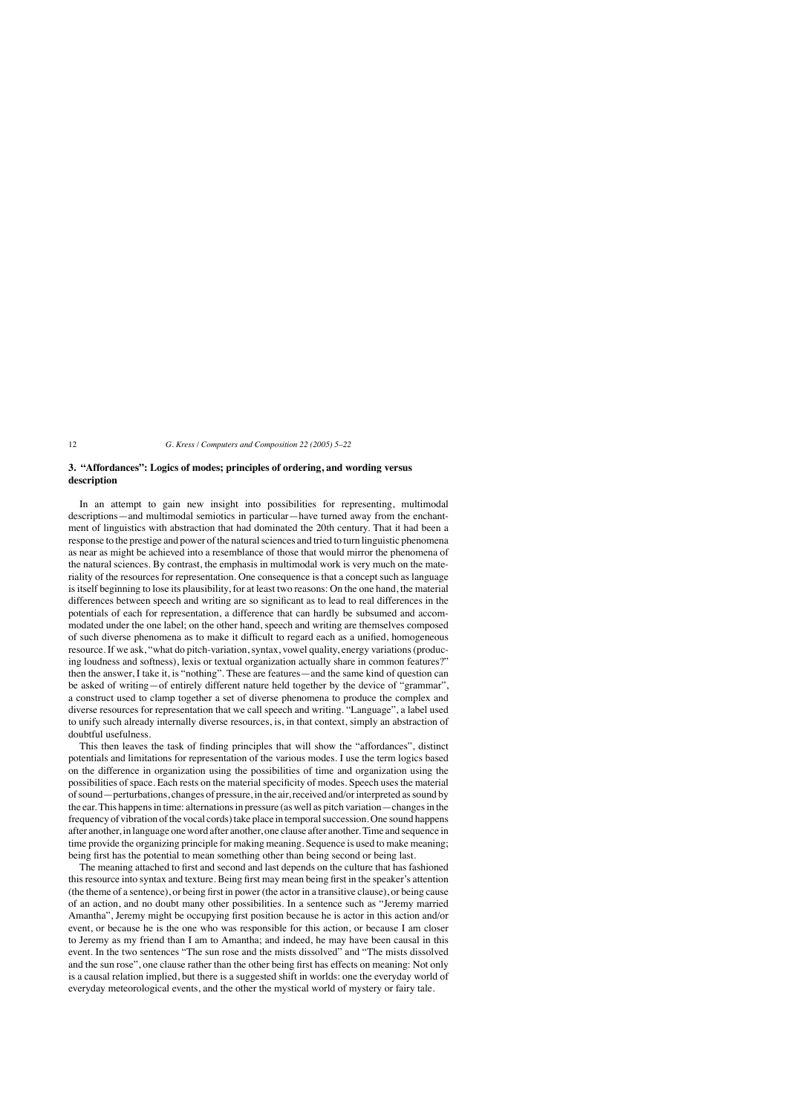# **3. "Affordances": Logics of modes; principles of ordering, and wording versus description**

In an attempt to gain new insight into possibilities for representing, multimodal descriptions—and multimodal semiotics in particular—have turned away from the enchantment of linguistics with abstraction that had dominated the 20th century. That it had been a response to the prestige and power of the natural sciences and tried to turn linguistic phenomena as near as might be achieved into a resemblance of those that would mirror the phenomena of the natural sciences. By contrast, the emphasis in multimodal work is very much on the materiality of the resources for representation. One consequence is that a concept such as language is itself beginning to lose its plausibility, for at least two reasons: On the one hand, the material differences between speech and writing are so significant as to lead to real differences in the potentials of each for representation, a difference that can hardly be subsumed and accommodated under the one label; on the other hand, speech and writing are themselves composed of such diverse phenomena as to make it difficult to regard each as a unified, homogeneous resource. If we ask, "what do pitch-variation, syntax, vowel quality, energy variations (producing loudness and softness), lexis or textual organization actually share in common features?" then the answer, I take it, is "nothing". These are features—and the same kind of question can be asked of writing—of entirely different nature held together by the device of "grammar", a construct used to clamp together a set of diverse phenomena to produce the complex and diverse resources for representation that we call speech and writing. "Language", a label used to unify such already internally diverse resources, is, in that context, simply an abstraction of doubtful usefulness.

This then leaves the task of finding principles that will show the "affordances", distinct potentials and limitations for representation of the various modes. I use the term logics based on the difference in organization using the possibilities of time and organization using the possibilities of space. Each rests on the material specificity of modes. Speech uses the material of sound—perturbations, changes of pressure, in the air, received and/or interpreted as sound by the ear. This happens in time: alternations in pressure (as well as pitch variation—changes in the frequency of vibration of the vocal cords) take place in temporal succession. One sound happens after another, in language one word after another, one clause after another. Time and sequence in time provide the organizing principle for making meaning. Sequence is used to make meaning; being first has the potential to mean something other than being second or being last.

The meaning attached to first and second and last depends on the culture that has fashioned this resource into syntax and texture. Being first may mean being first in the speaker's attention (the theme of a sentence), or being first in power (the actor in a transitive clause), or being cause of an action, and no doubt many other possibilities. In a sentence such as "Jeremy married Amantha", Jeremy might be occupying first position because he is actor in this action and/or event, or because he is the one who was responsible for this action, or because I am closer to Jeremy as my friend than I am to Amantha; and indeed, he may have been causal in this event. In the two sentences "The sun rose and the mists dissolved" and "The mists dissolved and the sun rose", one clause rather than the other being first has effects on meaning: Not only is a causal relation implied, but there is a suggested shift in worlds: one the everyday world of everyday meteorological events, and the other the mystical world of mystery or fairy tale.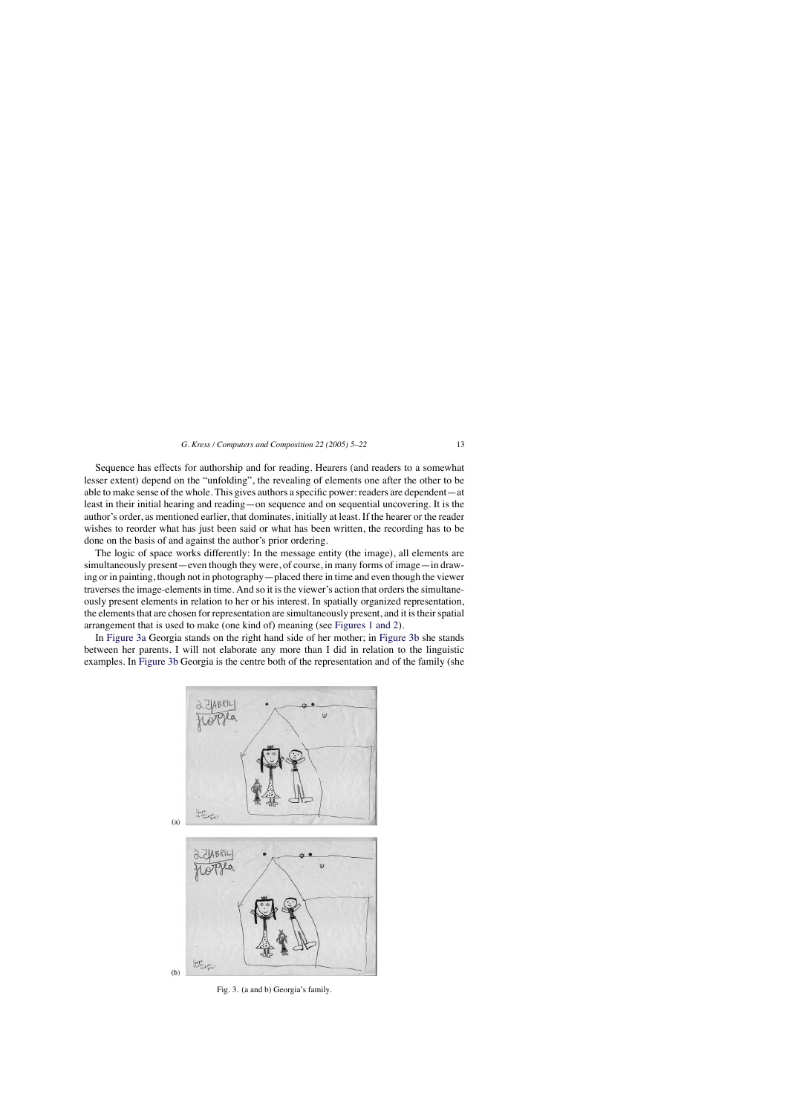<span id="page-8-0"></span>Sequence has effects for authorship and for reading. Hearers (and readers to a somewhat lesser extent) depend on the "unfolding", the revealing of elements one after the other to be able to make sense of the whole. This gives authors a specific power: readers are dependent—at least in their initial hearing and reading—on sequence and on sequential uncovering. It is the author's order, as mentioned earlier, that dominates, initially at least. If the hearer or the reader wishes to reorder what has just been said or what has been written, the recording has to be done on the basis of and against the author's prior ordering.

The logic of space works differently: In the message entity (the image), all elements are simultaneously present—even though they were, of course, in many forms of image—in drawing or in painting, though not in photography—placed there in time and even though the viewer traverses the image-elements in time. And so it is the viewer's action that orders the simultaneously present elements in relation to her or his interest. In spatially organized representation, the elements that are chosen for representation are simultaneously present, and it is their spatial arrangement that is used to make (one kind of) meaning (see [Figures 1 and 2\).](#page-3-0)

In Figure 3a Georgia stands on the right hand side of her mother; in Figure 3b she stands between her parents. I will not elaborate any more than I did in relation to the linguistic examples. In Figure 3b Georgia is the centre both of the representation and of the family (she



Fig. 3. (a and b) Georgia's family.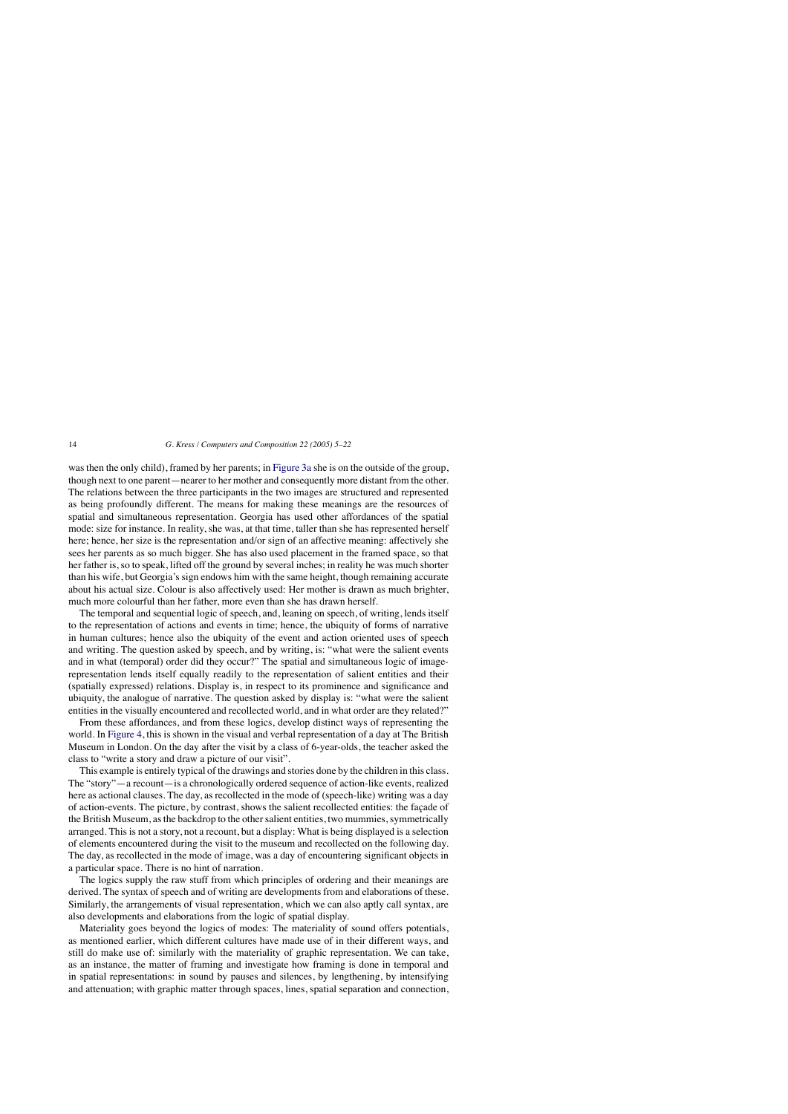was then the only child), framed by her parents; in [Figure 3a](#page-8-0) she is on the outside of the group, though next to one parent—nearer to her mother and consequently more distant from the other. The relations between the three participants in the two images are structured and represented as being profoundly different. The means for making these meanings are the resources of spatial and simultaneous representation. Georgia has used other affordances of the spatial mode: size for instance. In reality, she was, at that time, taller than she has represented herself here; hence, her size is the representation and/or sign of an affective meaning: affectively she sees her parents as so much bigger. She has also used placement in the framed space, so that her father is, so to speak, lifted off the ground by several inches; in reality he was much shorter than his wife, but Georgia's sign endows him with the same height, though remaining accurate about his actual size. Colour is also affectively used: Her mother is drawn as much brighter, much more colourful than her father, more even than she has drawn herself.

The temporal and sequential logic of speech, and, leaning on speech, of writing, lends itself to the representation of actions and events in time; hence, the ubiquity of forms of narrative in human cultures; hence also the ubiquity of the event and action oriented uses of speech and writing. The question asked by speech, and by writing, is: "what were the salient events and in what (temporal) order did they occur?" The spatial and simultaneous logic of imagerepresentation lends itself equally readily to the representation of salient entities and their (spatially expressed) relations. Display is, in respect to its prominence and significance and ubiquity, the analogue of narrative. The question asked by display is: "what were the salient entities in the visually encountered and recollected world, and in what order are they related?"

From these affordances, and from these logics, develop distinct ways of representing the world. In [Figure 4, t](#page-10-0)his is shown in the visual and verbal representation of a day at The British Museum in London. On the day after the visit by a class of 6-year-olds, the teacher asked the class to "write a story and draw a picture of our visit".

This example is entirely typical of the drawings and stories done by the children in this class. The "story"—a recount—is a chronologically ordered sequence of action-like events, realized here as actional clauses. The day, as recollected in the mode of (speech-like) writing was a day of action-events. The picture, by contrast, shows the salient recollected entities: the facade of the British Museum, as the backdrop to the other salient entities, two mummies, symmetrically arranged. This is not a story, not a recount, but a display: What is being displayed is a selection of elements encountered during the visit to the museum and recollected on the following day. The day, as recollected in the mode of image, was a day of encountering significant objects in a particular space. There is no hint of narration.

The logics supply the raw stuff from which principles of ordering and their meanings are derived. The syntax of speech and of writing are developments from and elaborations of these. Similarly, the arrangements of visual representation, which we can also aptly call syntax, are also developments and elaborations from the logic of spatial display.

Materiality goes beyond the logics of modes: The materiality of sound offers potentials, as mentioned earlier, which different cultures have made use of in their different ways, and still do make use of: similarly with the materiality of graphic representation. We can take, as an instance, the matter of framing and investigate how framing is done in temporal and in spatial representations: in sound by pauses and silences, by lengthening, by intensifying and attenuation; with graphic matter through spaces, lines, spatial separation and connection,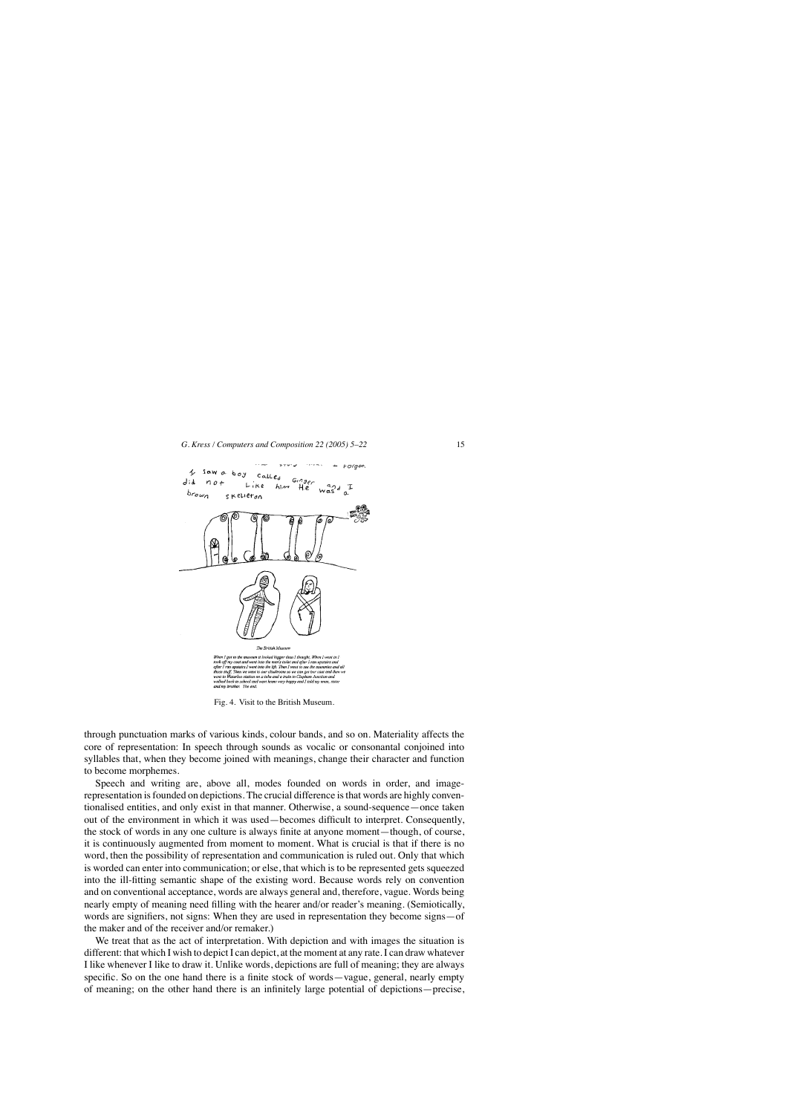<span id="page-10-0"></span>

Fig. 4. Visit to the British Museum.

through punctuation marks of various kinds, colour bands, and so on. Materiality affects the core of representation: In speech through sounds as vocalic or consonantal conjoined into syllables that, when they become joined with meanings, change their character and function to become morphemes.

Speech and writing are, above all, modes founded on words in order, and imagerepresentation is founded on depictions. The crucial difference is that words are highly conventionalised entities, and only exist in that manner. Otherwise, a sound-sequence—once taken out of the environment in which it was used—becomes difficult to interpret. Consequently, the stock of words in any one culture is always finite at anyone moment—though, of course, it is continuously augmented from moment to moment. What is crucial is that if there is no word, then the possibility of representation and communication is ruled out. Only that which is worded can enter into communication; or else, that which is to be represented gets squeezed into the ill-fitting semantic shape of the existing word. Because words rely on convention and on conventional acceptance, words are always general and, therefore, vague. Words being nearly empty of meaning need filling with the hearer and/or reader's meaning. (Semiotically, words are signifiers, not signs: When they are used in representation they become signs—of the maker and of the receiver and/or remaker.)

We treat that as the act of interpretation. With depiction and with images the situation is different: that which I wish to depict I can depict, at the moment at any rate. I can draw whatever I like whenever I like to draw it. Unlike words, depictions are full of meaning; they are always specific. So on the one hand there is a finite stock of words—vague, general, nearly empty of meaning; on the other hand there is an infinitely large potential of depictions—precise,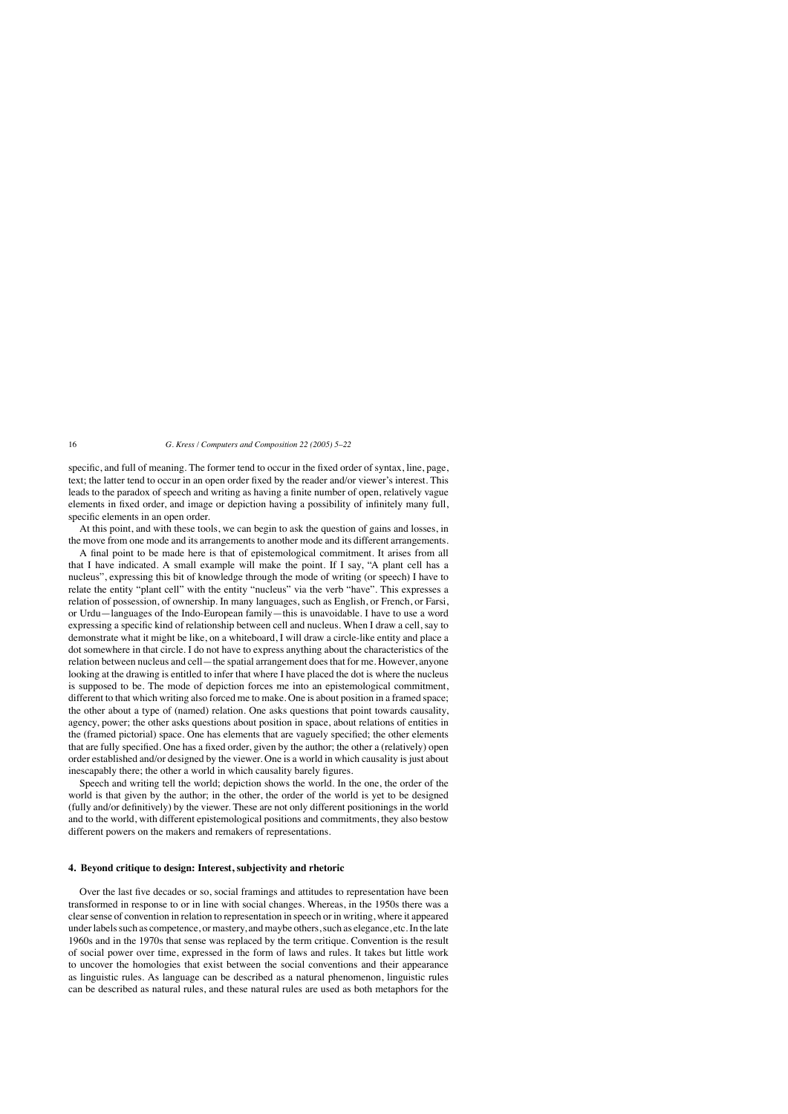specific, and full of meaning. The former tend to occur in the fixed order of syntax, line, page, text; the latter tend to occur in an open order fixed by the reader and/or viewer's interest. This leads to the paradox of speech and writing as having a finite number of open, relatively vague elements in fixed order, and image or depiction having a possibility of infinitely many full, specific elements in an open order.

At this point, and with these tools, we can begin to ask the question of gains and losses, in the move from one mode and its arrangements to another mode and its different arrangements.

A final point to be made here is that of epistemological commitment. It arises from all that I have indicated. A small example will make the point. If I say, "A plant cell has a nucleus", expressing this bit of knowledge through the mode of writing (or speech) I have to relate the entity "plant cell" with the entity "nucleus" via the verb "have". This expresses a relation of possession, of ownership. In many languages, such as English, or French, or Farsi, or Urdu—languages of the Indo-European family—this is unavoidable. I have to use a word expressing a specific kind of relationship between cell and nucleus. When I draw a cell, say to demonstrate what it might be like, on a whiteboard, I will draw a circle-like entity and place a dot somewhere in that circle. I do not have to express anything about the characteristics of the relation between nucleus and cell—the spatial arrangement does that for me. However, anyone looking at the drawing is entitled to infer that where I have placed the dot is where the nucleus is supposed to be. The mode of depiction forces me into an epistemological commitment, different to that which writing also forced me to make. One is about position in a framed space; the other about a type of (named) relation. One asks questions that point towards causality, agency, power; the other asks questions about position in space, about relations of entities in the (framed pictorial) space. One has elements that are vaguely specified; the other elements that are fully specified. One has a fixed order, given by the author; the other a (relatively) open order established and/or designed by the viewer. One is a world in which causality is just about inescapably there; the other a world in which causality barely figures.

Speech and writing tell the world; depiction shows the world. In the one, the order of the world is that given by the author; in the other, the order of the world is yet to be designed (fully and/or definitively) by the viewer. These are not only different positionings in the world and to the world, with different epistemological positions and commitments, they also bestow different powers on the makers and remakers of representations.

# **4. Beyond critique to design: Interest, subjectivity and rhetoric**

Over the last five decades or so, social framings and attitudes to representation have been transformed in response to or in line with social changes. Whereas, in the 1950s there was a clear sense of convention in relation to representation in speech or in writing, where it appeared under labels such as competence, or mastery, and maybe others, such as elegance, etc. In the late 1960s and in the 1970s that sense was replaced by the term critique. Convention is the result of social power over time, expressed in the form of laws and rules. It takes but little work to uncover the homologies that exist between the social conventions and their appearance as linguistic rules. As language can be described as a natural phenomenon, linguistic rules can be described as natural rules, and these natural rules are used as both metaphors for the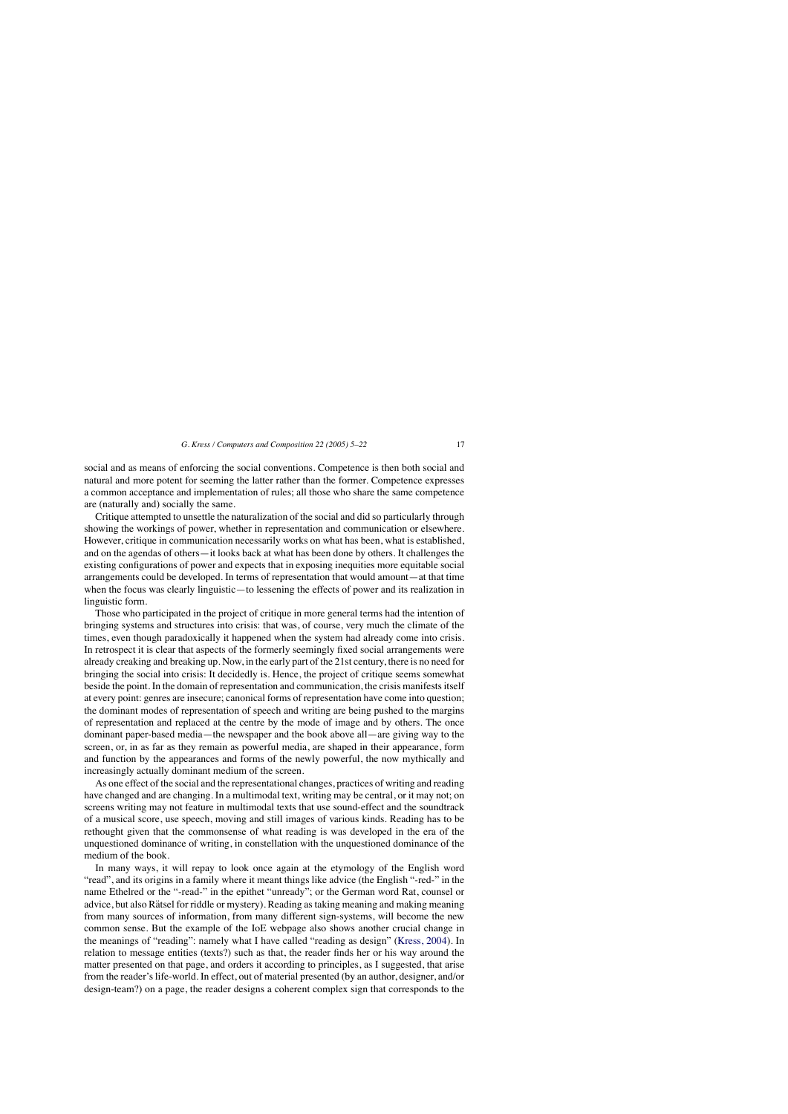social and as means of enforcing the social conventions. Competence is then both social and natural and more potent for seeming the latter rather than the former. Competence expresses a common acceptance and implementation of rules; all those who share the same competence are (naturally and) socially the same.

Critique attempted to unsettle the naturalization of the social and did so particularly through showing the workings of power, whether in representation and communication or elsewhere. However, critique in communication necessarily works on what has been, what is established, and on the agendas of others—it looks back at what has been done by others. It challenges the existing configurations of power and expects that in exposing inequities more equitable social arrangements could be developed. In terms of representation that would amount—at that time when the focus was clearly linguistic—to lessening the effects of power and its realization in linguistic form.

Those who participated in the project of critique in more general terms had the intention of bringing systems and structures into crisis: that was, of course, very much the climate of the times, even though paradoxically it happened when the system had already come into crisis. In retrospect it is clear that aspects of the formerly seemingly fixed social arrangements were already creaking and breaking up. Now, in the early part of the 21st century, there is no need for bringing the social into crisis: It decidedly is. Hence, the project of critique seems somewhat beside the point. In the domain of representation and communication, the crisis manifests itself at every point: genres are insecure; canonical forms of representation have come into question; the dominant modes of representation of speech and writing are being pushed to the margins of representation and replaced at the centre by the mode of image and by others. The once dominant paper-based media—the newspaper and the book above all—are giving way to the screen, or, in as far as they remain as powerful media, are shaped in their appearance, form and function by the appearances and forms of the newly powerful, the now mythically and increasingly actually dominant medium of the screen.

As one effect of the social and the representational changes, practices of writing and reading have changed and are changing. In a multimodal text, writing may be central, or it may not; on screens writing may not feature in multimodal texts that use sound-effect and the soundtrack of a musical score, use speech, moving and still images of various kinds. Reading has to be rethought given that the commonsense of what reading is was developed in the era of the unquestioned dominance of writing, in constellation with the unquestioned dominance of the medium of the book.

In many ways, it will repay to look once again at the etymology of the English word "read", and its origins in a family where it meant things like advice (the English "-red-" in the name Ethelred or the "-read-" in the epithet "unready"; or the German word Rat, counsel or advice, but also Rätsel for riddle or mystery). Reading as taking meaning and making meaning from many sources of information, from many different sign-systems, will become the new common sense. But the example of the IoE webpage also shows another crucial change in the meanings of "reading": namely what I have called "reading as design" [\(Kress, 2004\).](#page-17-0) In relation to message entities (texts?) such as that, the reader finds her or his way around the matter presented on that page, and orders it according to principles, as I suggested, that arise from the reader's life-world. In effect, out of material presented (by an author, designer, and/or design-team?) on a page, the reader designs a coherent complex sign that corresponds to the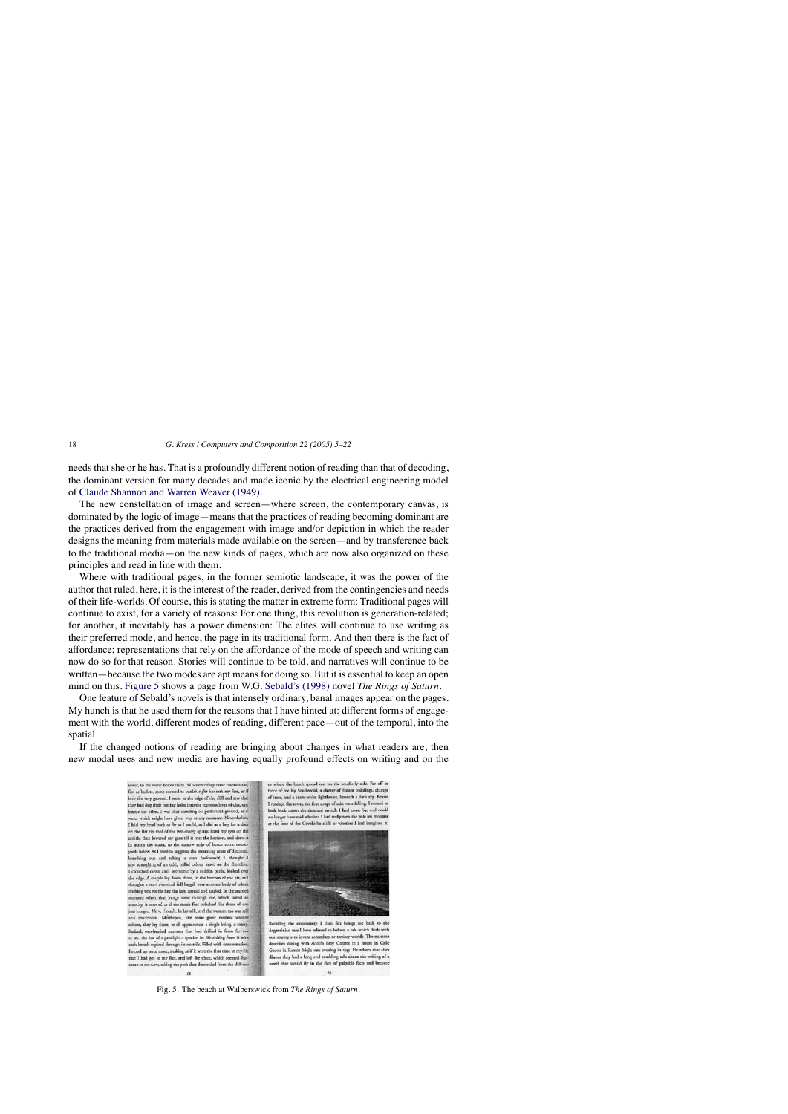needs that she or he has. That is a profoundly different notion of reading than that of decoding, the dominant version for many decades and made iconic by the electrical engineering model of [Claude Shannon and Warren Weaver \(1949\).](#page-17-0)

The new constellation of image and screen—where screen, the contemporary canvas, is dominated by the logic of image—means that the practices of reading becoming dominant are the practices derived from the engagement with image and/or depiction in which the reader designs the meaning from materials made available on the screen—and by transference back to the traditional media—on the new kinds of pages, which are now also organized on these principles and read in line with them.

Where with traditional pages, in the former semiotic landscape, it was the power of the author that ruled, here, it is the interest of the reader, derived from the contingencies and needs of their life-worlds. Of course, this is stating the matter in extreme form: Traditional pages will continue to exist, for a variety of reasons: For one thing, this revolution is generation-related; for another, it inevitably has a power dimension: The elites will continue to use writing as their preferred mode, and hence, the page in its traditional form. And then there is the fact of affordance; representations that rely on the affordance of the mode of speech and writing can now do so for that reason. Stories will continue to be told, and narratives will continue to be written—because the two modes are apt means for doing so. But it is essential to keep an open mind on this. Figure 5 shows a page from W.G. [Sebald's \(1998\)](#page-17-0) novel *The Rings of Saturn*.

One feature of Sebald's novels is that intensely ordinary, banal images appear on the pages. My hunch is that he used them for the reasons that I have hinted at: different forms of engagement with the world, different modes of reading, different pace—out of the temporal, into the spatial.

If the changed notions of reading are bringing about changes in what readers are, then new modal uses and new media are having equally profound effects on writing and on the





Recalling the uncertainty I then felt brings me back to the Argentinian tale I have referred to before, a tale which deals with our attempts to invent secondary or tertiary worlds. The narrator describes dining with Adolfo Bioy Casares in a house in Calle Gaona in Ramos Mejla one evening in 1935. He relates that after dinner they had a long and rambling talk about the writing of a novel that would fly in the face of palpable facts and become 69

Fig. 5. The beach at Walberswick from *The Rings of Saturn*.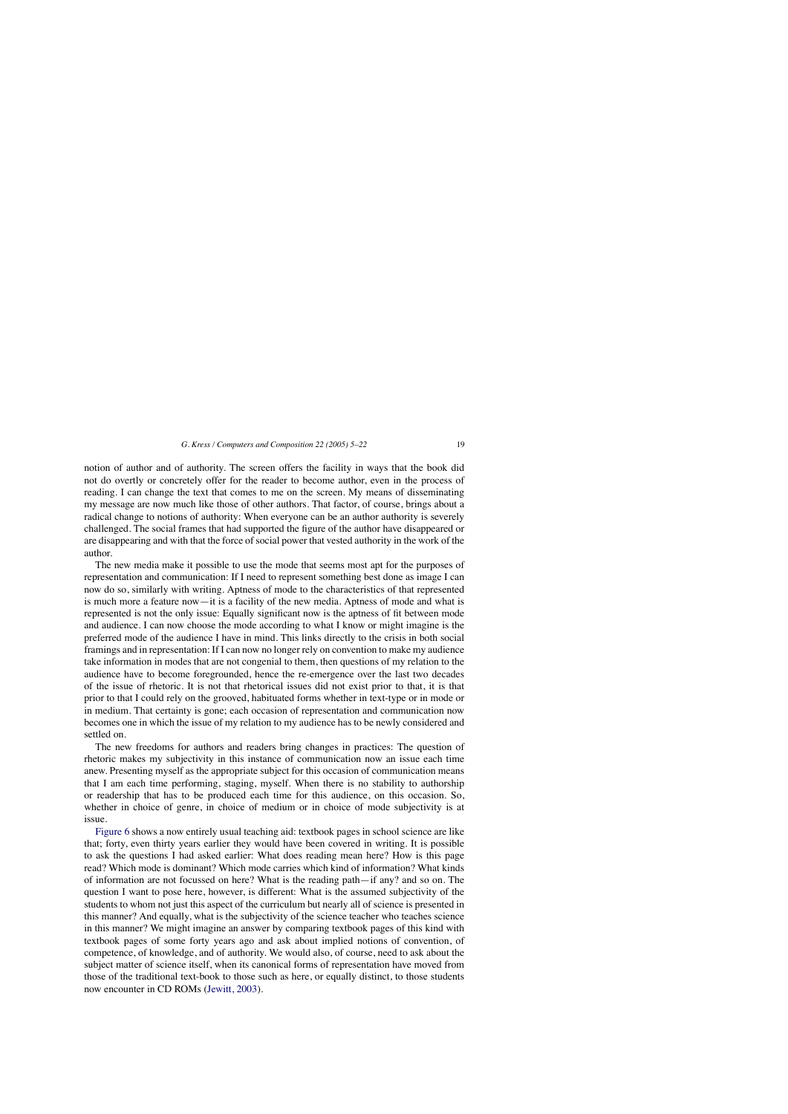notion of author and of authority. The screen offers the facility in ways that the book did not do overtly or concretely offer for the reader to become author, even in the process of reading. I can change the text that comes to me on the screen. My means of disseminating my message are now much like those of other authors. That factor, of course, brings about a radical change to notions of authority: When everyone can be an author authority is severely challenged. The social frames that had supported the figure of the author have disappeared or are disappearing and with that the force of social power that vested authority in the work of the author.

The new media make it possible to use the mode that seems most apt for the purposes of representation and communication: If I need to represent something best done as image I can now do so, similarly with writing. Aptness of mode to the characteristics of that represented is much more a feature now—it is a facility of the new media. Aptness of mode and what is represented is not the only issue: Equally significant now is the aptness of fit between mode and audience. I can now choose the mode according to what I know or might imagine is the preferred mode of the audience I have in mind. This links directly to the crisis in both social framings and in representation: If I can now no longer rely on convention to make my audience take information in modes that are not congenial to them, then questions of my relation to the audience have to become foregrounded, hence the re-emergence over the last two decades of the issue of rhetoric. It is not that rhetorical issues did not exist prior to that, it is that prior to that I could rely on the grooved, habituated forms whether in text-type or in mode or in medium. That certainty is gone; each occasion of representation and communication now becomes one in which the issue of my relation to my audience has to be newly considered and settled on.

The new freedoms for authors and readers bring changes in practices: The question of rhetoric makes my subjectivity in this instance of communication now an issue each time anew. Presenting myself as the appropriate subject for this occasion of communication means that I am each time performing, staging, myself. When there is no stability to authorship or readership that has to be produced each time for this audience, on this occasion. So, whether in choice of genre, in choice of medium or in choice of mode subjectivity is at issue.

[Figure 6](#page-15-0) shows a now entirely usual teaching aid: textbook pages in school science are like that; forty, even thirty years earlier they would have been covered in writing. It is possible to ask the questions I had asked earlier: What does reading mean here? How is this page read? Which mode is dominant? Which mode carries which kind of information? What kinds of information are not focussed on here? What is the reading path—if any? and so on. The question I want to pose here, however, is different: What is the assumed subjectivity of the students to whom not just this aspect of the curriculum but nearly all of science is presented in this manner? And equally, what is the subjectivity of the science teacher who teaches science in this manner? We might imagine an answer by comparing textbook pages of this kind with textbook pages of some forty years ago and ask about implied notions of convention, of competence, of knowledge, and of authority. We would also, of course, need to ask about the subject matter of science itself, when its canonical forms of representation have moved from those of the traditional text-book to those such as here, or equally distinct, to those students now encounter in CD ROMs ([Jewitt, 2003\).](#page-17-0)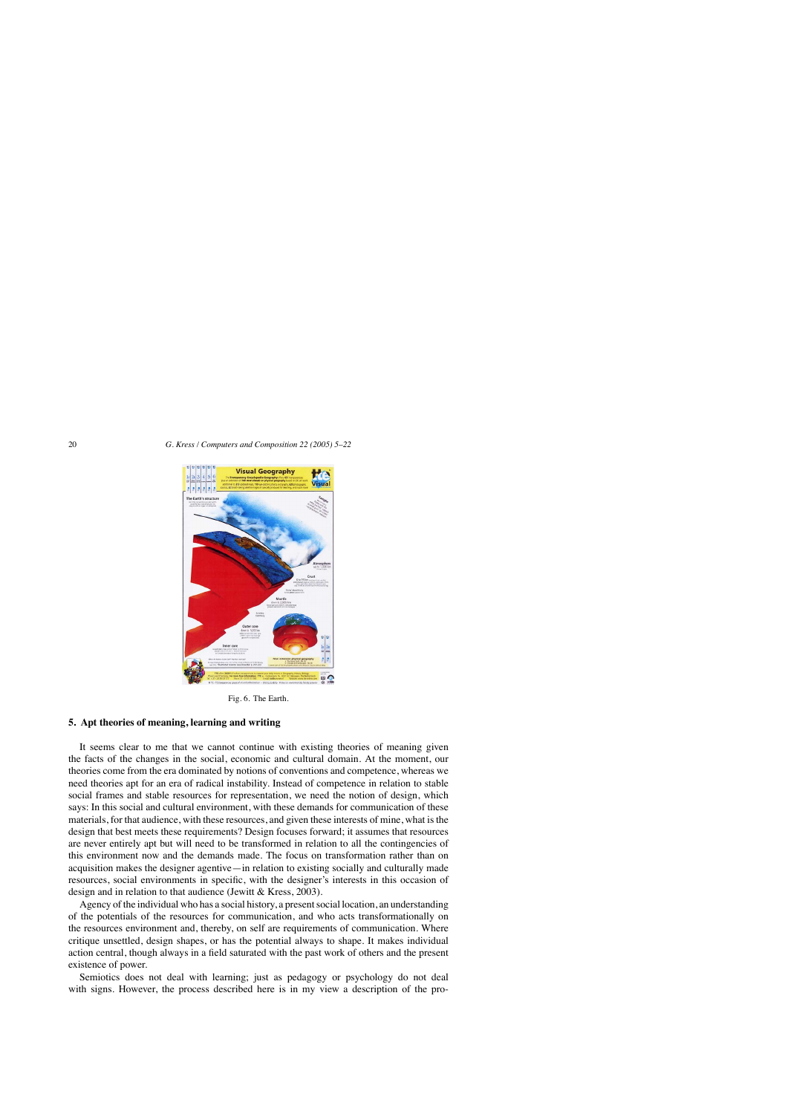<span id="page-15-0"></span>

Fig. 6. The Earth.

# **5. Apt theories of meaning, learning and writing**

It seems clear to me that we cannot continue with existing theories of meaning given the facts of the changes in the social, economic and cultural domain. At the moment, our theories come from the era dominated by notions of conventions and competence, whereas we need theories apt for an era of radical instability. Instead of competence in relation to stable social frames and stable resources for representation, we need the notion of design, which says: In this social and cultural environment, with these demands for communication of these materials, for that audience, with these resources, and given these interests of mine, what is the design that best meets these requirements? Design focuses forward; it assumes that resources are never entirely apt but will need to be transformed in relation to all the contingencies of this environment now and the demands made. The focus on transformation rather than on acquisition makes the designer agentive—in relation to existing socially and culturally made resources, social environments in specific, with the designer's interests in this occasion of design and in relation to that audience (Jewitt & Kress, 2003).

Agency of the individual who has a social history, a present social location, an understanding of the potentials of the resources for communication, and who acts transformationally on the resources environment and, thereby, on self are requirements of communication. Where critique unsettled, design shapes, or has the potential always to shape. It makes individual action central, though always in a field saturated with the past work of others and the present existence of power.

Semiotics does not deal with learning; just as pedagogy or psychology do not deal with signs. However, the process described here is in my view a description of the pro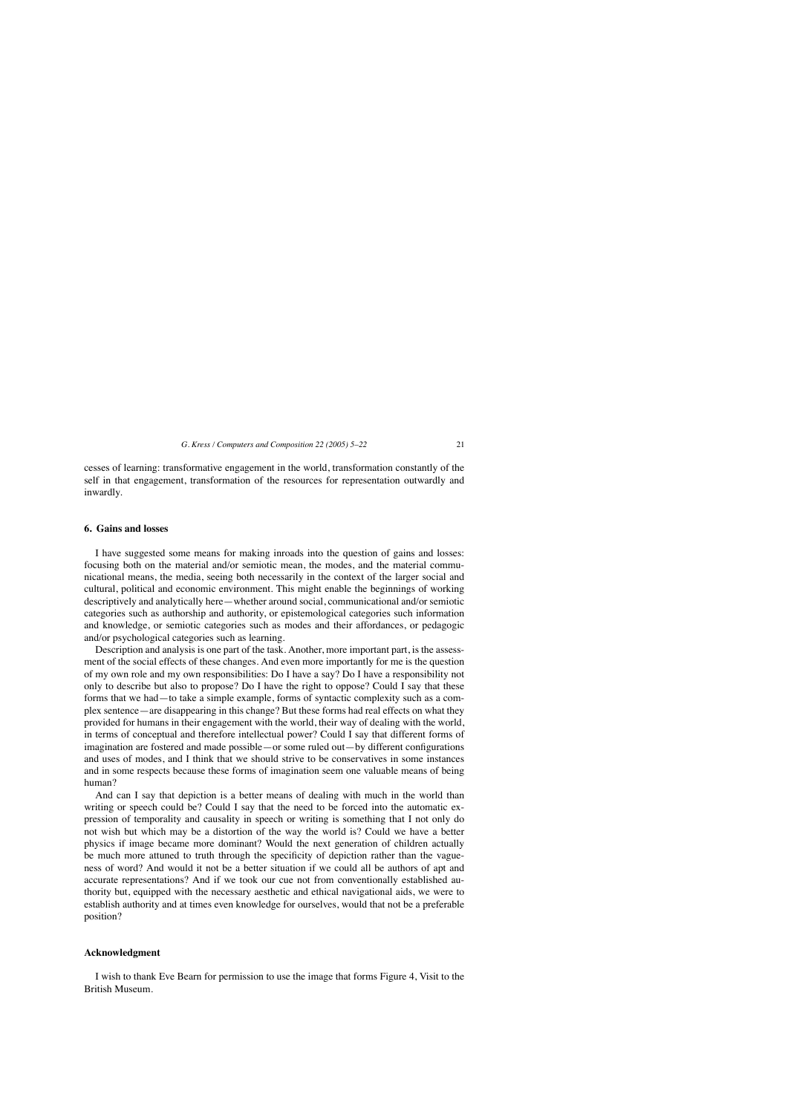cesses of learning: transformative engagement in the world, transformation constantly of the self in that engagement, transformation of the resources for representation outwardly and inwardly.

# **6. Gains and losses**

I have suggested some means for making inroads into the question of gains and losses: focusing both on the material and/or semiotic mean, the modes, and the material communicational means, the media, seeing both necessarily in the context of the larger social and cultural, political and economic environment. This might enable the beginnings of working descriptively and analytically here—whether around social, communicational and/or semiotic categories such as authorship and authority, or epistemological categories such information and knowledge, or semiotic categories such as modes and their affordances, or pedagogic and/or psychological categories such as learning.

Description and analysis is one part of the task. Another, more important part, is the assessment of the social effects of these changes. And even more importantly for me is the question of my own role and my own responsibilities: Do I have a say? Do I have a responsibility not only to describe but also to propose? Do I have the right to oppose? Could I say that these forms that we had—to take a simple example, forms of syntactic complexity such as a complex sentence—are disappearing in this change? But these forms had real effects on what they provided for humans in their engagement with the world, their way of dealing with the world, in terms of conceptual and therefore intellectual power? Could I say that different forms of imagination are fostered and made possible—or some ruled out—by different configurations and uses of modes, and I think that we should strive to be conservatives in some instances and in some respects because these forms of imagination seem one valuable means of being human?

And can I say that depiction is a better means of dealing with much in the world than writing or speech could be? Could I say that the need to be forced into the automatic expression of temporality and causality in speech or writing is something that I not only do not wish but which may be a distortion of the way the world is? Could we have a better physics if image became more dominant? Would the next generation of children actually be much more attuned to truth through the specificity of depiction rather than the vagueness of word? And would it not be a better situation if we could all be authors of apt and accurate representations? And if we took our cue not from conventionally established authority but, equipped with the necessary aesthetic and ethical navigational aids, we were to establish authority and at times even knowledge for ourselves, would that not be a preferable position?

### **Acknowledgment**

I wish to thank Eve Bearn for permission to use the image that forms Figure 4, Visit to the British Museum.